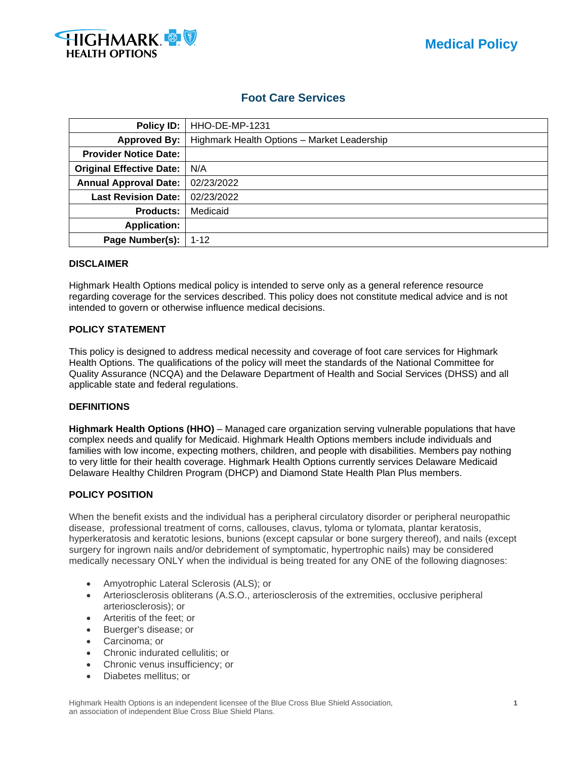

## **Foot Care Services**

| Policy ID:                      | HHO-DE-MP-1231                              |
|---------------------------------|---------------------------------------------|
| <b>Approved By:</b>             | Highmark Health Options - Market Leadership |
| <b>Provider Notice Date:</b>    |                                             |
| <b>Original Effective Date:</b> | N/A                                         |
| <b>Annual Approval Date:</b>    | 02/23/2022                                  |
| <b>Last Revision Date:</b>      | 02/23/2022                                  |
| <b>Products:</b>                | Medicaid                                    |
| <b>Application:</b>             |                                             |
| Page Number(s):                 | $1 - 12$                                    |

#### **DISCLAIMER**

Highmark Health Options medical policy is intended to serve only as a general reference resource regarding coverage for the services described. This policy does not constitute medical advice and is not intended to govern or otherwise influence medical decisions.

## **POLICY STATEMENT**

This policy is designed to address medical necessity and coverage of foot care services for Highmark Health Options. The qualifications of the policy will meet the standards of the National Committee for Quality Assurance (NCQA) and the Delaware Department of Health and Social Services (DHSS) and all applicable state and federal regulations.

#### **DEFINITIONS**

**Highmark Health Options (HHO)** – Managed care organization serving vulnerable populations that have complex needs and qualify for Medicaid. Highmark Health Options members include individuals and families with low income, expecting mothers, children, and people with disabilities. Members pay nothing to very little for their health coverage. Highmark Health Options currently services Delaware Medicaid Delaware Healthy Children Program (DHCP) and Diamond State Health Plan Plus members.

## **POLICY POSITION**

When the benefit exists and the individual has a peripheral circulatory disorder or peripheral neuropathic disease, professional treatment of corns, callouses, clavus, tyloma or tylomata, plantar keratosis, hyperkeratosis and keratotic lesions, bunions (except capsular or bone surgery thereof), and nails (except surgery for ingrown nails and/or debridement of symptomatic, hypertrophic nails) may be considered medically necessary ONLY when the individual is being treated for any ONE of the following diagnoses:

- Amyotrophic Lateral Sclerosis (ALS); or
- Arteriosclerosis obliterans (A.S.O., arteriosclerosis of the extremities, occlusive peripheral arteriosclerosis); or
- Arteritis of the feet; or
- Buerger's disease; or
- Carcinoma; or
- Chronic indurated cellulitis; or
- Chronic venus insufficiency; or
- Diabetes mellitus; or

Highmark Health Options is an independent licensee of the Blue Cross Blue Shield Association, **1** an association of independent Blue Cross Blue Shield Plans.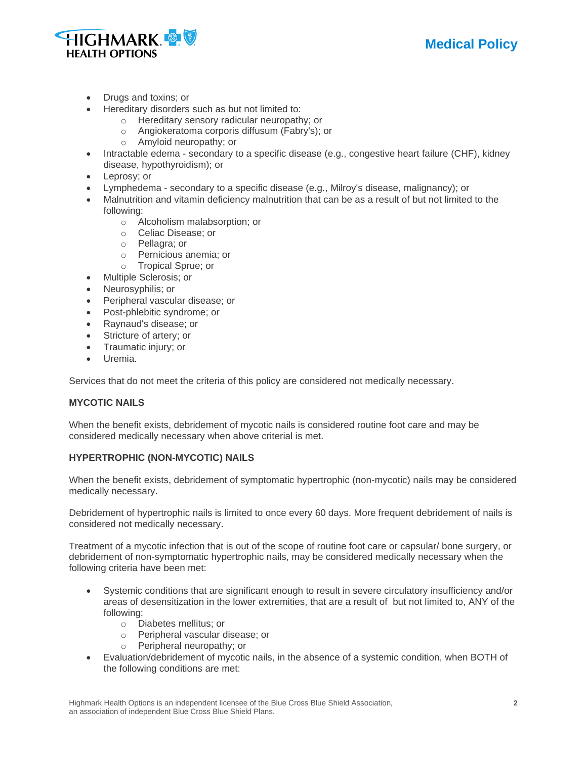



- Drugs and toxins; or
- Hereditary disorders such as but not limited to:
	- o Hereditary sensory radicular neuropathy; or
	- o Angiokeratoma corporis diffusum (Fabry's); or
	- o Amyloid neuropathy; or
- Intractable edema secondary to a specific disease (e.g., congestive heart failure (CHF), kidney disease, hypothyroidism); or
- Leprosy; or
- Lymphedema secondary to a specific disease (e.g., Milroy's disease, malignancy); or
- Malnutrition and vitamin deficiency malnutrition that can be as a result of but not limited to the following:
	- o Alcoholism malabsorption; or
	- o Celiac Disease; or
	- o Pellagra; or
	- o Pernicious anemia; or
	- o Tropical Sprue; or
- Multiple Sclerosis; or
- Neurosyphilis; or
- Peripheral vascular disease; or
- Post-phlebitic syndrome; or
- Raynaud's disease; or
- Stricture of artery; or
- Traumatic injury; or
- Uremia.

Services that do not meet the criteria of this policy are considered not medically necessary.

## **MYCOTIC NAILS**

When the benefit exists, debridement of mycotic nails is considered routine foot care and may be considered medically necessary when above criterial is met.

## **HYPERTROPHIC (NON-MYCOTIC) NAILS**

When the benefit exists, debridement of symptomatic hypertrophic (non-mycotic) nails may be considered medically necessary.

Debridement of hypertrophic nails is limited to once every 60 days. More frequent debridement of nails is considered not medically necessary.

Treatment of a mycotic infection that is out of the scope of routine foot care or capsular/ bone surgery, or debridement of non-symptomatic hypertrophic nails, may be considered medically necessary when the following criteria have been met:

- Systemic conditions that are significant enough to result in severe circulatory insufficiency and/or areas of desensitization in the lower extremities, that are a result of but not limited to, ANY of the following:
	- o Diabetes mellitus; or
	- o Peripheral vascular disease; or
	- o Peripheral neuropathy; or
- Evaluation/debridement of mycotic nails, in the absence of a systemic condition, when BOTH of the following conditions are met: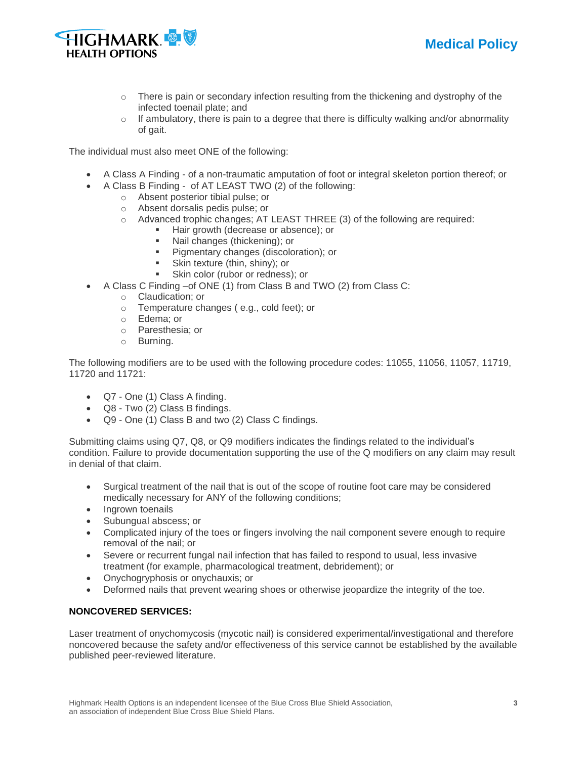



- $\circ$  There is pain or secondary infection resulting from the thickening and dystrophy of the infected toenail plate; and
- $\circ$  If ambulatory, there is pain to a degree that there is difficulty walking and/or abnormality of gait.

The individual must also meet ONE of the following:

- A Class A Finding of a non-traumatic amputation of foot or integral skeleton portion thereof; or
- A Class B Finding of AT LEAST TWO (2) of the following:
	- o Absent posterior tibial pulse; or
		- o Absent dorsalis pedis pulse; or
		- $\circ$  Advanced trophic changes; AT LEAST THREE (3) of the following are required:
			- Hair growth (decrease or absence); or
			- Nail changes (thickening); or<br>■ Pigmentary changes (discolo
			- Pigmentary changes (discoloration); or
			- Skin texture (thin, shiny); or
			- Skin color (rubor or redness); or
- A Class C Finding –of ONE (1) from Class B and TWO (2) from Class C:
	- o Claudication; or
	- o Temperature changes ( e.g., cold feet); or
	- o Edema; or
	- o Paresthesia; or
	- o Burning.

The following modifiers are to be used with the following procedure codes: 11055, 11056, 11057, 11719, 11720 and 11721:

- Q7 One (1) Class A finding.
- Q8 Two (2) Class B findings.
- Q9 One (1) Class B and two (2) Class C findings.

Submitting claims using Q7, Q8, or Q9 modifiers indicates the findings related to the individual's condition. Failure to provide documentation supporting the use of the Q modifiers on any claim may result in denial of that claim.

- Surgical treatment of the nail that is out of the scope of routine foot care may be considered medically necessary for ANY of the following conditions;
- Ingrown toenails
- Subungual abscess; or
- Complicated injury of the toes or fingers involving the nail component severe enough to require removal of the nail; or
- Severe or recurrent fungal nail infection that has failed to respond to usual, less invasive treatment (for example, pharmacological treatment, debridement); or
- Onychogryphosis or onychauxis; or
- Deformed nails that prevent wearing shoes or otherwise jeopardize the integrity of the toe.

## **NONCOVERED SERVICES:**

Laser treatment of onychomycosis (mycotic nail) is considered experimental/investigational and therefore noncovered because the safety and/or effectiveness of this service cannot be established by the available published peer-reviewed literature.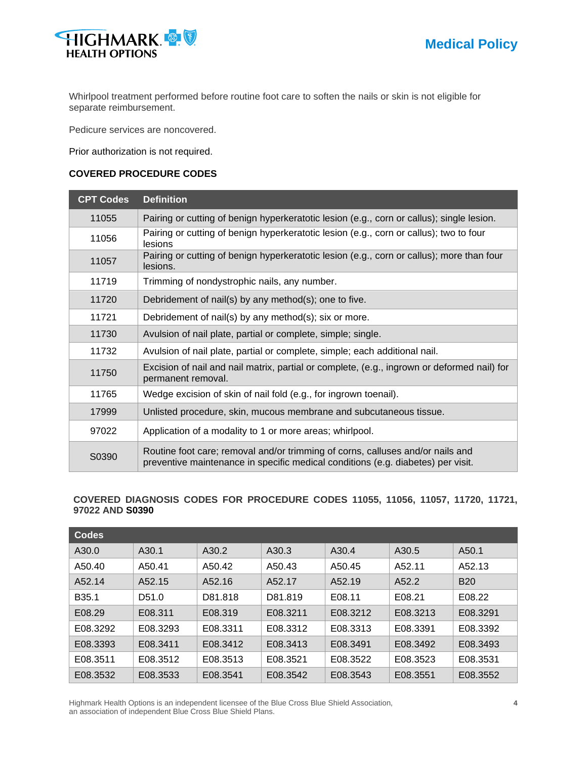

Whirlpool treatment performed before routine foot care to soften the nails or skin is not eligible for separate reimbursement.

Pedicure services are noncovered.

Prior authorization is not required.

## **COVERED PROCEDURE CODES**

| <b>CPT Codes</b> | <b>Definition</b>                                                                                                                                                  |
|------------------|--------------------------------------------------------------------------------------------------------------------------------------------------------------------|
| 11055            | Pairing or cutting of benign hyperkeratotic lesion (e.g., corn or callus); single lesion.                                                                          |
| 11056            | Pairing or cutting of benign hyperkeratotic lesion (e.g., corn or callus); two to four<br>lesions                                                                  |
| 11057            | Pairing or cutting of benign hyperkeratotic lesion (e.g., corn or callus); more than four<br>lesions.                                                              |
| 11719            | Trimming of nondystrophic nails, any number.                                                                                                                       |
| 11720            | Debridement of nail(s) by any method(s); one to five.                                                                                                              |
| 11721            | Debridement of nail(s) by any method(s); six or more.                                                                                                              |
| 11730            | Avulsion of nail plate, partial or complete, simple; single.                                                                                                       |
| 11732            | Avulsion of nail plate, partial or complete, simple; each additional nail.                                                                                         |
| 11750            | Excision of nail and nail matrix, partial or complete, (e.g., ingrown or deformed nail) for<br>permanent removal.                                                  |
| 11765            | Wedge excision of skin of nail fold (e.g., for ingrown toenail).                                                                                                   |
| 17999            | Unlisted procedure, skin, mucous membrane and subcutaneous tissue.                                                                                                 |
| 97022            | Application of a modality to 1 or more areas; whirlpool.                                                                                                           |
| S0390            | Routine foot care; removal and/or trimming of corns, calluses and/or nails and<br>preventive maintenance in specific medical conditions (e.g. diabetes) per visit. |

## **COVERED DIAGNOSIS CODES FOR PROCEDURE CODES 11055, 11056, 11057, 11720, 11721, 97022 AND S0390**

| <b>Codes</b>      |                   |          |          |          |          |            |
|-------------------|-------------------|----------|----------|----------|----------|------------|
| A30.0             | A <sub>30.1</sub> | A30.2    | A30.3    | A30.4    | A30.5    | A50.1      |
| A50.40            | A50.41            | A50.42   | A50.43   | A50.45   | A52.11   | A52.13     |
| A52.14            | A52.15            | A52.16   | A52.17   | A52.19   | A52.2    | <b>B20</b> |
| B <sub>35.1</sub> | D <sub>51.0</sub> | D81.818  | D81.819  | E08.11   | E08.21   | E08.22     |
| E08.29            | E08.311           | E08.319  | E08.3211 | E08.3212 | E08.3213 | E08.3291   |
| E08.3292          | E08.3293          | E08.3311 | E08.3312 | E08.3313 | E08.3391 | E08.3392   |
| E08.3393          | E08.3411          | E08.3412 | E08.3413 | E08.3491 | E08.3492 | E08.3493   |
| E08.3511          | E08.3512          | E08.3513 | E08.3521 | E08.3522 | E08.3523 | E08.3531   |
| E08.3532          | E08.3533          | E08.3541 | E08.3542 | E08.3543 | E08.3551 | E08.3552   |

Highmark Health Options is an independent licensee of the Blue Cross Blue Shield Association, **4** an association of independent Blue Cross Blue Shield Plans.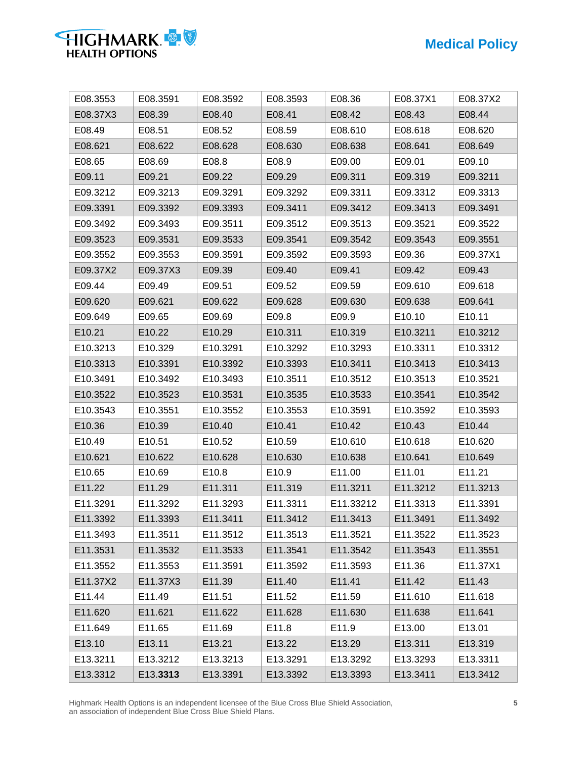

| E08.3553 | E08.3591 | E08.3592 | E08.3593 | E08.36    | E08.37X1 | E08.37X2 |
|----------|----------|----------|----------|-----------|----------|----------|
| E08.37X3 | E08.39   | E08.40   | E08.41   | E08.42    | E08.43   | E08.44   |
| E08.49   | E08.51   | E08.52   | E08.59   | E08.610   | E08.618  | E08.620  |
| E08.621  | E08.622  | E08.628  | E08.630  | E08.638   | E08.641  | E08.649  |
| E08.65   | E08.69   | E08.8    | E08.9    | E09.00    | E09.01   | E09.10   |
| E09.11   | E09.21   | E09.22   | E09.29   | E09.311   | E09.319  | E09.3211 |
| E09.3212 | E09.3213 | E09.3291 | E09.3292 | E09.3311  | E09.3312 | E09.3313 |
| E09.3391 | E09.3392 | E09.3393 | E09.3411 | E09.3412  | E09.3413 | E09.3491 |
| E09.3492 | E09.3493 | E09.3511 | E09.3512 | E09.3513  | E09.3521 | E09.3522 |
| E09.3523 | E09.3531 | E09.3533 | E09.3541 | E09.3542  | E09.3543 | E09.3551 |
| E09.3552 | E09.3553 | E09.3591 | E09.3592 | E09.3593  | E09.36   | E09.37X1 |
| E09.37X2 | E09.37X3 | E09.39   | E09.40   | E09.41    | E09.42   | E09.43   |
| E09.44   | E09.49   | E09.51   | E09.52   | E09.59    | E09.610  | E09.618  |
| E09.620  | E09.621  | E09.622  | E09.628  | E09.630   | E09.638  | E09.641  |
| E09.649  | E09.65   | E09.69   | E09.8    | E09.9     | E10.10   | E10.11   |
| E10.21   | E10.22   | E10.29   | E10.311  | E10.319   | E10.3211 | E10.3212 |
| E10.3213 | E10.329  | E10.3291 | E10.3292 | E10.3293  | E10.3311 | E10.3312 |
| E10.3313 | E10.3391 | E10.3392 | E10.3393 | E10.3411  | E10.3413 | E10.3413 |
| E10.3491 | E10.3492 | E10.3493 | E10.3511 | E10.3512  | E10.3513 | E10.3521 |
| E10.3522 | E10.3523 | E10.3531 | E10.3535 | E10.3533  | E10.3541 | E10.3542 |
| E10.3543 | E10.3551 | E10.3552 | E10.3553 | E10.3591  | E10.3592 | E10.3593 |
| E10.36   | E10.39   | E10.40   | E10.41   | E10.42    | E10.43   | E10.44   |
| E10.49   | E10.51   | E10.52   | E10.59   | E10.610   | E10.618  | E10.620  |
| E10.621  | E10.622  | E10.628  | E10.630  | E10.638   | E10.641  | E10.649  |
| E10.65   | E10.69   | E10.8    | E10.9    | E11.00    | E11.01   | E11.21   |
| E11.22   | E11.29   | E11.311  | E11.319  | E11.3211  | E11.3212 | E11.3213 |
| E11.3291 | E11.3292 | E11.3293 | E11.3311 | E11.33212 | E11.3313 | E11.3391 |
| E11.3392 | E11.3393 | E11.3411 | E11.3412 | E11.3413  | E11.3491 | E11.3492 |
| E11.3493 | E11.3511 | E11.3512 | E11.3513 | E11.3521  | E11.3522 | E11.3523 |
| E11.3531 | E11.3532 | E11.3533 | E11.3541 | E11.3542  | E11.3543 | E11.3551 |
| E11.3552 | E11.3553 | E11.3591 | E11.3592 | E11.3593  | E11.36   | E11.37X1 |
| E11.37X2 | E11.37X3 | E11.39   | E11.40   | E11.41    | E11.42   | E11.43   |
| E11.44   | E11.49   | E11.51   | E11.52   | E11.59    | E11.610  | E11.618  |
| E11.620  | E11.621  | E11.622  | E11.628  | E11.630   | E11.638  | E11.641  |
| E11.649  | E11.65   | E11.69   | E11.8    | E11.9     | E13.00   | E13.01   |
| E13.10   | E13.11   | E13.21   | E13.22   | E13.29    | E13.311  | E13.319  |
| E13.3211 | E13.3212 | E13.3213 | E13.3291 | E13.3292  | E13.3293 | E13.3311 |
| E13.3312 | E13.3313 | E13.3391 | E13.3392 | E13.3393  | E13.3411 | E13.3412 |

Highmark Health Options is an independent licensee of the Blue Cross Blue Shield Association, **5** an association of independent Blue Cross Blue Shield Plans.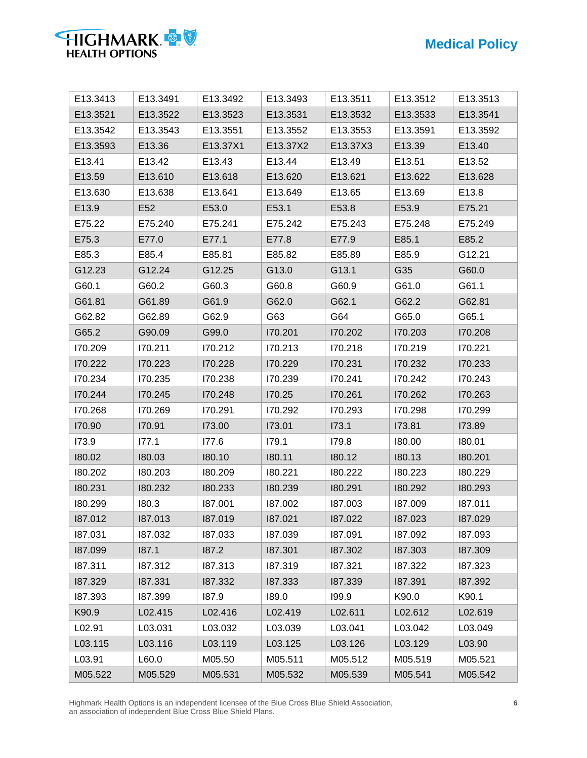

| E13.3413 | E13.3491        | E13.3492 | E13.3493 | E13.3511 | E13.3512 | E13.3513 |
|----------|-----------------|----------|----------|----------|----------|----------|
| E13.3521 | E13.3522        | E13.3523 | E13.3531 | E13.3532 | E13.3533 | E13.3541 |
| E13.3542 | E13.3543        | E13.3551 | E13.3552 | E13.3553 | E13.3591 | E13.3592 |
| E13.3593 | E13.36          | E13.37X1 | E13.37X2 | E13.37X3 | E13.39   | E13.40   |
| E13.41   | E13.42          | E13.43   | E13.44   | E13.49   | E13.51   | E13.52   |
| E13.59   | E13.610         | E13.618  | E13.620  | E13.621  | E13.622  | E13.628  |
| E13.630  | E13.638         | E13.641  | E13.649  | E13.65   | E13.69   | E13.8    |
| E13.9    | E <sub>52</sub> | E53.0    | E53.1    | E53.8    | E53.9    | E75.21   |
| E75.22   | E75.240         | E75.241  | E75.242  | E75.243  | E75.248  | E75.249  |
| E75.3    | E77.0           | E77.1    | E77.8    | E77.9    | E85.1    | E85.2    |
| E85.3    | E85.4           | E85.81   | E85.82   | E85.89   | E85.9    | G12.21   |
| G12.23   | G12.24          | G12.25   | G13.0    | G13.1    | G35      | G60.0    |
| G60.1    | G60.2           | G60.3    | G60.8    | G60.9    | G61.0    | G61.1    |
| G61.81   | G61.89          | G61.9    | G62.0    | G62.1    | G62.2    | G62.81   |
| G62.82   | G62.89          | G62.9    | G63      | G64      | G65.0    | G65.1    |
| G65.2    | G90.09          | G99.0    | 170.201  | 170.202  | 170.203  | 170.208  |
| 170.209  | 170.211         | 170.212  | 170.213  | 170.218  | 170.219  | 170.221  |
| 170.222  | 170.223         | 170.228  | 170.229  | 170.231  | 170.232  | 170.233  |
| 170.234  | 170.235         | 170.238  | 170.239  | 170.241  | 170.242  | 170.243  |
| 170.244  | 170.245         | 170.248  | 170.25   | 170.261  | 170.262  | 170.263  |
| 170.268  | 170.269         | 170.291  | 170.292  | 170.293  | 170.298  | 170.299  |
| 170.90   | 170.91          | 173.00   | 173.01   | 173.1    | 173.81   | 173.89   |
| 173.9    | 177.1           | 177.6    | 179.1    | 179.8    | 180.00   | 180.01   |
| 180.02   | 180.03          | 180.10   | 180.11   | 180.12   | 180.13   | 180.201  |
| 180.202  | 180.203         | 180.209  | 180.221  | 180.222  | 180.223  | 180.229  |
| 180.231  | 180.232         | 180.233  | 180.239  | 180.291  | 180.292  | 180.293  |
| 180.299  | 180.3           | 187.001  | 187.002  | 187.003  | 187.009  | 187.011  |
| 187.012  | 187.013         | 187.019  | 187.021  | 187.022  | 187.023  | 187.029  |
| 187.031  | 187.032         | 187.033  | 187.039  | 187.091  | 187.092  | 187.093  |
| 187.099  | 187.1           | 187.2    | 187.301  | 187.302  | 187.303  | 187.309  |
| 187.311  | 187.312         | 187.313  | 187.319  | 187.321  | 187.322  | 187.323  |
| 187.329  | 187.331         | 187.332  | 187.333  | 187.339  | 187.391  | 187.392  |
| 187.393  | 187.399         | 187.9    | 189.0    | 199.9    | K90.0    | K90.1    |
| K90.9    | L02.415         | L02.416  | L02.419  | L02.611  | L02.612  | L02.619  |
| L02.91   | L03.031         | L03.032  | L03.039  | L03.041  | L03.042  | L03.049  |
| L03.115  | L03.116         | L03.119  | L03.125  | L03.126  | L03.129  | L03.90   |
| L03.91   | L60.0           | M05.50   | M05.511  | M05.512  | M05.519  | M05.521  |
| M05.522  | M05.529         | M05.531  | M05.532  | M05.539  | M05.541  | M05.542  |

Highmark Health Options is an independent licensee of the Blue Cross Blue Shield Association, **6** an association of independent Blue Cross Blue Shield Plans.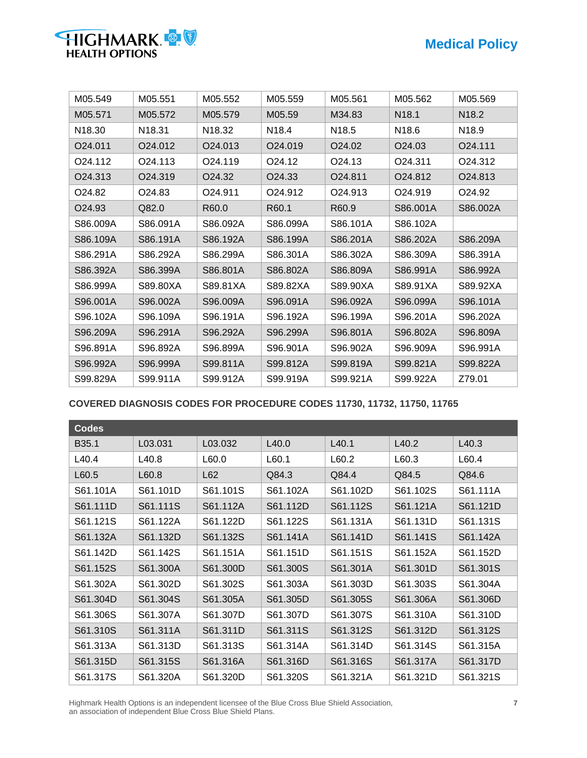| HIGHMARK & V          |  |
|-----------------------|--|
| <b>HEALTH OPTIONS</b> |  |

| M05.549             | M05.551             | M05.552             | M05.559            | M05.561            | M05.562             | M05.569             |
|---------------------|---------------------|---------------------|--------------------|--------------------|---------------------|---------------------|
| M05.571             | M05.572             | M05.579             | M05.59             | M34.83             | N <sub>18.1</sub>   | N <sub>18.2</sub>   |
| N <sub>18.30</sub>  | N <sub>18.31</sub>  | N <sub>18.32</sub>  | N <sub>18.4</sub>  | N18.5              | N18.6               | N <sub>18.9</sub>   |
| O <sub>24.011</sub> | O <sub>24.012</sub> | O24.013             | O24.019            | O24.02             | O <sub>24.0</sub> 3 | O24.111             |
| O <sub>24.112</sub> | O <sub>24.113</sub> | O <sub>24.119</sub> | O <sub>24.12</sub> | O <sub>24.13</sub> | 024.311             | O <sub>24.312</sub> |
| O24.313             | O24.319             | O <sub>24.32</sub>  | O24.33             | O24.811            | O <sub>24.812</sub> | O <sub>24.813</sub> |
| O24.82              | O <sub>24.83</sub>  | O24.911             | O24.912            | O24.913            | O <sub>24.919</sub> | O <sub>24.92</sub>  |
| O <sub>24.93</sub>  | Q82.0               | R60.0               | R60.1              | R60.9              | S86.001A            | S86.002A            |
| S86.009A            | S86.091A            | S86.092A            | S86.099A           | S86.101A           | S86.102A            |                     |
| S86.109A            | S86.191A            | S86.192A            | S86.199A           | S86.201A           | S86.202A            | S86.209A            |
| S86.291A            | S86.292A            | S86.299A            | S86.301A           | S86.302A           | S86.309A            | S86.391A            |
| S86.392A            | S86.399A            | S86.801A            | S86.802A           | S86.809A           | S86.991A            | S86.992A            |
| S86.999A            | S89.80XA            | S89.81XA            | S89.82XA           | S89.90XA           | S89.91XA            | S89.92XA            |
| S96.001A            | S96.002A            | S96.009A            | S96.091A           | S96.092A           | S96.099A            | S96.101A            |
| S96.102A            | S96.109A            | S96.191A            | S96.192A           | S96.199A           | S96.201A            | S96.202A            |
| S96.209A            | S96.291A            | S96.292A            | S96.299A           | S96.801A           | S96.802A            | S96.809A            |
| S96.891A            | S96.892A            | S96.899A            | S96.901A           | S96.902A           | S96.909A            | S96.991A            |
| S96.992A            | S96.999A            | S99.811A            | S99.812A           | S99.819A           | S99.821A            | S99.822A            |
| S99.829A            | S99.911A            | S99.912A            | S99.919A           | S99.921A           | S99.922A            | Z79.01              |

**COVERED DIAGNOSIS CODES FOR PROCEDURE CODES 11730, 11732, 11750, 11765**

| <b>Codes</b>      |          |          |          |          |          |          |
|-------------------|----------|----------|----------|----------|----------|----------|
| B <sub>35.1</sub> | L03.031  | L03.032  | L40.0    | L40.1    | L40.2    | L40.3    |
| L40.4             | L40.8    | L60.0    | L60.1    | L60.2    | L60.3    | L60.4    |
| L60.5             | L60.8    | L62      | Q84.3    | Q84.4    | Q84.5    | Q84.6    |
| S61.101A          | S61.101D | S61.101S | S61.102A | S61.102D | S61.102S | S61.111A |
| S61.111D          | S61.111S | S61.112A | S61.112D | S61.112S | S61.121A | S61.121D |
| S61.121S          | S61.122A | S61.122D | S61.122S | S61.131A | S61.131D | S61.131S |
| S61.132A          | S61.132D | S61.132S | S61.141A | S61.141D | S61.141S | S61.142A |
| S61.142D          | S61.142S | S61.151A | S61.151D | S61.151S | S61.152A | S61.152D |
| S61.152S          | S61.300A | S61.300D | S61.300S | S61.301A | S61.301D | S61.301S |
| S61.302A          | S61.302D | S61.302S | S61.303A | S61.303D | S61.303S | S61.304A |
| S61.304D          | S61.304S | S61.305A | S61.305D | S61.305S | S61.306A | S61.306D |
| S61.306S          | S61.307A | S61.307D | S61.307D | S61.307S | S61.310A | S61.310D |
| S61.310S          | S61.311A | S61.311D | S61.311S | S61.312S | S61.312D | S61.312S |
| S61.313A          | S61.313D | S61.313S | S61.314A | S61.314D | S61.314S | S61.315A |
| S61.315D          | S61.315S | S61.316A | S61.316D | S61.316S | S61.317A | S61.317D |
| S61.317S          | S61.320A | S61.320D | S61.320S | S61.321A | S61.321D | S61.321S |

Highmark Health Options is an independent licensee of the Blue Cross Blue Shield Association, **7** an association of independent Blue Cross Blue Shield Plans.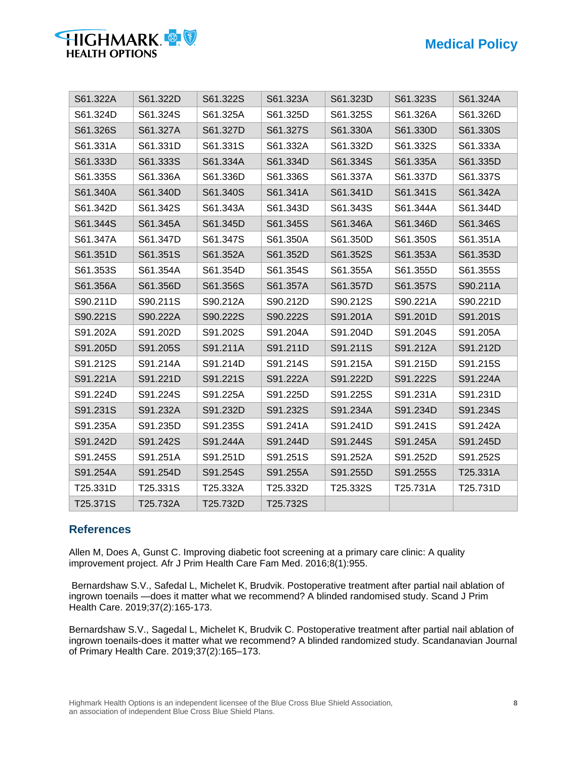

| S61.322A | S61.322D | S61.322S | S61.323A | S61.323D | S61.323S | S61.324A |
|----------|----------|----------|----------|----------|----------|----------|
| S61.324D | S61.324S | S61.325A | S61.325D | S61.325S | S61.326A | S61.326D |
| S61.326S | S61.327A | S61.327D | S61.327S | S61.330A | S61.330D | S61.330S |
| S61.331A | S61.331D | S61.331S | S61.332A | S61.332D | S61.332S | S61.333A |
| S61.333D | S61.333S | S61.334A | S61.334D | S61.334S | S61.335A | S61.335D |
| S61.335S | S61.336A | S61.336D | S61.336S | S61.337A | S61.337D | S61.337S |
| S61.340A | S61.340D | S61.340S | S61.341A | S61.341D | S61.341S | S61.342A |
| S61.342D | S61.342S | S61.343A | S61.343D | S61.343S | S61.344A | S61.344D |
| S61.344S | S61.345A | S61.345D | S61.345S | S61.346A | S61.346D | S61.346S |
| S61.347A | S61.347D | S61.347S | S61.350A | S61.350D | S61.350S | S61.351A |
| S61.351D | S61.351S | S61.352A | S61.352D | S61.352S | S61.353A | S61.353D |
| S61.353S | S61.354A | S61.354D | S61.354S | S61.355A | S61.355D | S61.355S |
| S61.356A | S61.356D | S61.356S | S61.357A | S61.357D | S61.357S | S90.211A |
| S90.211D | S90.211S | S90.212A | S90.212D | S90.212S | S90.221A | S90.221D |
| S90.221S | S90.222A | S90.222S | S90.222S | S91.201A | S91.201D | S91.201S |
| S91.202A | S91.202D | S91.202S | S91.204A | S91.204D | S91.204S | S91.205A |
| S91.205D | S91.205S | S91.211A | S91.211D | S91.211S | S91.212A | S91.212D |
| S91.212S | S91.214A | S91.214D | S91.214S | S91.215A | S91.215D | S91.215S |
| S91.221A | S91.221D | S91.221S | S91.222A | S91.222D | S91.222S | S91.224A |
| S91.224D | S91.224S | S91.225A | S91.225D | S91.225S | S91.231A | S91.231D |
| S91.231S | S91.232A | S91.232D | S91.232S | S91.234A | S91.234D | S91.234S |
| S91.235A | S91.235D | S91.235S | S91.241A | S91.241D | S91.241S | S91.242A |
| S91.242D | S91.242S | S91.244A | S91.244D | S91.244S | S91.245A | S91.245D |
| S91.245S | S91.251A | S91.251D | S91.251S | S91.252A | S91.252D | S91.252S |
| S91.254A | S91.254D | S91.254S | S91.255A | S91.255D | S91.255S | T25.331A |
| T25.331D | T25.331S | T25.332A | T25.332D | T25.332S | T25.731A | T25.731D |
| T25.371S | T25.732A | T25.732D | T25.732S |          |          |          |

## **References**

Allen M, Does A, Gunst C. Improving diabetic foot screening at a primary care clinic: A quality improvement project. Afr J Prim Health Care Fam Med. 2016;8(1):955.

Bernardshaw S.V., Safedal L, Michelet K, Brudvik. Postoperative treatment after partial nail ablation of ingrown toenails —does it matter what we recommend? A blinded randomised study. Scand J Prim Health Care. 2019;37(2):165-173.

Bernardshaw S.V., Sagedal L, Michelet K, Brudvik C. Postoperative treatment after partial nail ablation of ingrown toenails-does it matter what we recommend? A blinded randomized study. Scandanavian Journal of Primary Health Care. 2019;37(2):165–173.